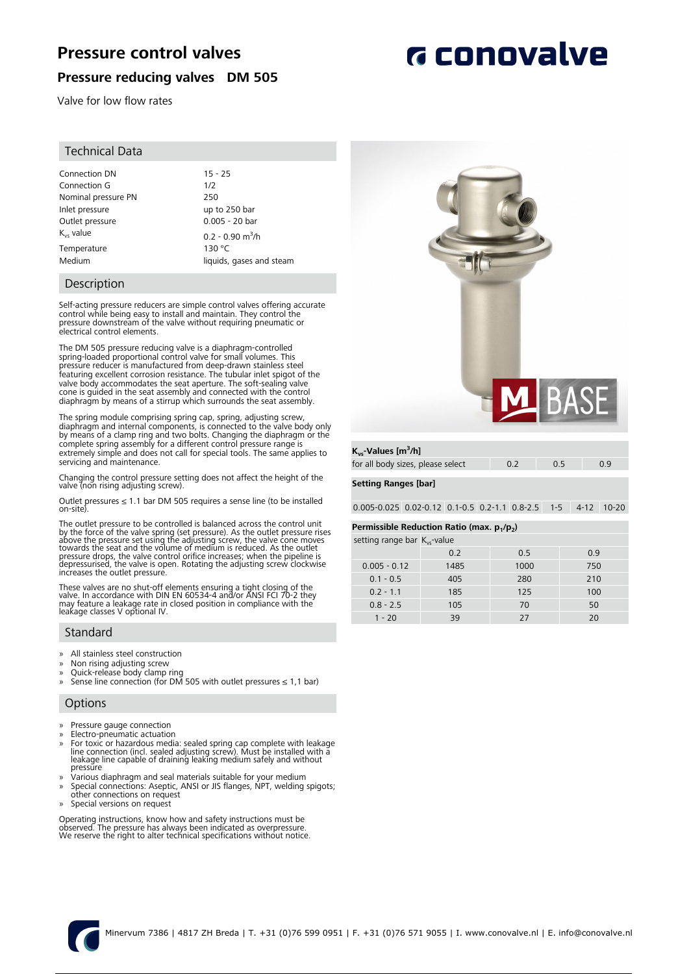# **Pressure control valves**

# **Pressure reducing valves DM 505**

Valve for low flow rates

### Technical Data

| Connection DN         | $15 - 25$                      |
|-----------------------|--------------------------------|
| Connection G          | 1/2                            |
| Nominal pressure PN   | 250                            |
| Inlet pressure        | up to 250 bar                  |
| Outlet pressure       | $0.005 - 20$ bar               |
| $K_{\text{vs}}$ value | $0.2 - 0.90$ m <sup>3</sup> /h |
| Temperature           | 130 °C                         |
| Medium                | liquids, gases and steam       |

### Description

Self-acting pressure reducers are simple control valves offering accurate control while being easy to install and maintain. They control the pressure downstream of the valve without requiring pneumatic or electrical control elements.

The DM 505 pressure reducing valve is a diaphragm-controlled spring-loaded proportional control valve for small volumes. This pressure reducer is manufactured from deep-drawn stainless steel featuring excellent corrosion resistance. The tubular inlet spigot of the valve body accommodates the seat aperture. The soft-sealing valve cone is guided in the seat assembly and connected with the control diaphragm by means of a stirrup which surrounds the seat assembly.

The spring module comprising spring cap, spring, adjusting screw, diaphragm and internal components, is connected to the valve body only by means of a clamp ring and two bolts. Changing the diaphragm or the complete spring assembly for a different control pressure range is extremely simple and does not call for special tools. The same applies to servicing and maintenance.

Changing the control pressure setting does not affect the height of the valve (non rising adjusting screw).

Outlet pressures ≤ 1.1 bar DM 505 requires a sense line (to be installed on-site).

The outlet pressure to be controlled is balanced across the control unit<br>by the force of the valve spring (set pressure). As the outlet pressure rises<br>above the pressure set using the adjusting screw, the valve cone moves<br>

These valves are no shut-off elements ensuring a tight closing of the valve. In accordance with DIN EN 60534-4 and/or ANSI FCI 70-2 they may feature a leakage rate in closed position in compliance with the leakage classes V optional IV.

### Standard

- 
- » All stainless steel construction » Non rising adjusting screw
- » Quick-release body clamp ring
- » Sense line connection (for DM 505 with outlet pressures ≤ 1,1 bar)

### **Options**

- » Pressure gauge connection
- » Electro-pneumatic actuation
- » For toxic or hazardous media: sealed spring cap complete with leakage line connection (incl. sealed adjusting screw). Must be installed with a leakage line capable of draining leaking medium safely and without pressūre
- » Various diaphragm and seal materials suitable for your medium
- Special connections: Aseptic, ANSI or JIS flanges, NPT, welding spigots; other connections on request
- » Special versions on request

Operating instructions, know how and safety instructions must be observed. The pressure has always been indicated as overpressure. We reserve the right to alter technical specifications without notice.



### **Kvs-Values [m<sup>3</sup> /h]**

| for all body sizes, please select | $\sim$ 0.2 |  |
|-----------------------------------|------------|--|
|                                   |            |  |

### **Setting Ranges [bar]**

0.005-0.025 0.02-0.12 0.1-0.5 0.2-1.1 0.8-2.5 1-5 4-12 10-20

#### **Permissible Reduction Ratio (max. p<sup>1</sup> /p<sup>2</sup> )**

| setting range bar $K_{vs}$ -value |      |      |     |  |  |
|-----------------------------------|------|------|-----|--|--|
|                                   | 0.2  | 0.5  | 0.9 |  |  |
| $0.005 - 0.12$                    | 1485 | 1000 | 750 |  |  |
| $0.1 - 0.5$                       | 405  | 280  | 210 |  |  |
| $0.2 - 1.1$                       | 185  | 125  | 100 |  |  |
| $0.8 - 2.5$                       | 105  | 70   | 50  |  |  |
| $1 - 20$                          | 39   | 27   | 20  |  |  |



# **G** conovalve